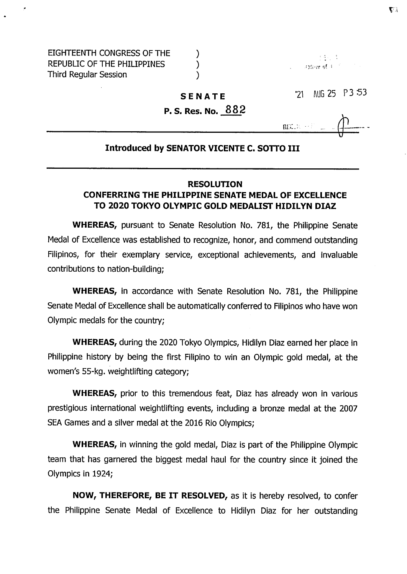#### **SENATE**

## **P. S. Res. No. 882**

**71** AUG **25 P 3 -53**

 $\mathbf{R}\mathbf{I}\mathbf{X},\mathbf{X}\rightarrow\mathbb{R}^{n}$ 

### **Introduced by SENATOR VICENTE C. SOTTO III**

### **RESOLUTION**

# **CONFERRING THE PHILIPPINE SENATE MEDAL OF EXCELLENCE TO 2020 TOKYO OLYMPIC GOLD MEDALIST HIDILYN DIAZ**

**WHEREAS,** pursuant to Senate Resolution No. 781, the Philippine Senate Medal of Excellence was established to recognize, honor, and commend outstanding Filipinos, for their exemplary service, exceptional achievements, and invaluable contributions to nation-building;

**WHEREAS,** in accordance with Senate Resolution No. 781, the Philippine Senate Medal of Excellence shall be automatically conferred to Filipinos who have won Olympic medals for the country;

**WHEREAS,** during the 2020 Tokyo Olympics, Hidilyn Diaz earned her place in Philippine history by being the first Filipino to win an Olympic gold medal, at the women's 55-kg. weightlifting category;

**WHEREAS,** prior to this tremendous feat, Diaz has already won in various prestigious international weightlifting events, including a bronze medal at the 2007 SEA Games and a silver medal at the 2016 Rio Olympics;

**WHEREAS,** in winning the gold medal, Diaz is part of the Philippine Olympic team that has garnered the biggest medal haul for the country since it joined the Olympics in 1924;

**NOW, THEREFORE, BE IT RESOLVED,** as it is hereby resolved, to confer the Philippine Senate Medal of Excellence to Hidilyn Diaz for her outstanding